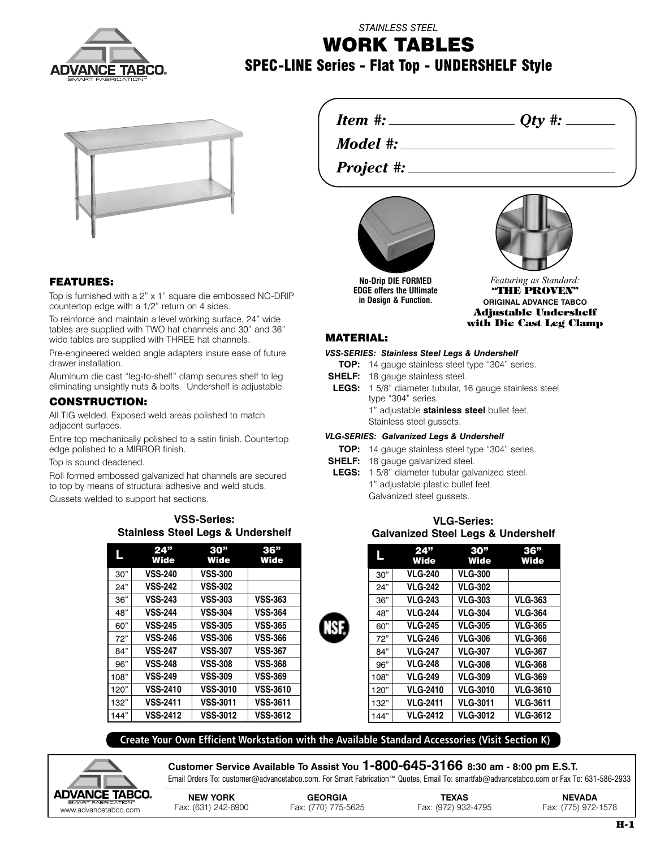

*STAINLESS STEEL*

# **WORK TABLES SPEC-LINE Series - Flat Top - UNDERSHELF Style**



# **FEATURES:**

Top is furnished with a 2" x 1" square die embossed NO-DRIP countertop edge with a 1/2" return on 4 sides.

To reinforce and maintain a level working surface, 24" wide tables are supplied with TWO hat channels and 30" and 36" wide tables are supplied with THREE hat channels.

Pre-engineered welded angle adapters insure ease of future drawer installation.

Aluminum die cast "leg-to-shelf" clamp secures shelf to leg eliminating unsightly nuts & bolts. Undershelf is adjustable.

## **CONSTRUCTION:**

All TIG welded. Exposed weld areas polished to match adjacent surfaces.

Entire top mechanically polished to a satin finish. Countertop edge polished to a MIRROR finish.

Top is sound deadened.

Roll formed embossed galvanized hat channels are secured to top by means of structural adhesive and weld studs.

Gussets welded to support hat sections.

| <b>Stainless Steel Legs &amp; Undershelf</b> | .               |      |
|----------------------------------------------|-----------------|------|
| 24"                                          | 30 <sup>n</sup> | 36"  |
| Wide                                         | Wide            | Wide |

**VSS-Series:**

| ь    | <b>Wide</b>     | <b>Wide</b>     | <b>Wide</b>     |
|------|-----------------|-----------------|-----------------|
| 30"  | <b>VSS-240</b>  | <b>VSS-300</b>  |                 |
| 24"  | <b>VSS-242</b>  | <b>VSS-302</b>  |                 |
| 36"  | <b>VSS-243</b>  | <b>VSS-303</b>  | <b>VSS-363</b>  |
| 48"  | <b>VSS-244</b>  | <b>VSS-304</b>  | <b>VSS-364</b>  |
| 60"  | <b>VSS-245</b>  | <b>VSS-305</b>  | <b>VSS-365</b>  |
| 72"  | <b>VSS-246</b>  | <b>VSS-306</b>  | <b>VSS-366</b>  |
| 84"  | <b>VSS-247</b>  | <b>VSS-307</b>  | <b>VSS-367</b>  |
| 96"  | <b>VSS-248</b>  | <b>VSS-308</b>  | <b>VSS-368</b>  |
| 108" | <b>VSS-249</b>  | <b>VSS-309</b>  | <b>VSS-369</b>  |
| 120" | <b>VSS-2410</b> | <b>VSS-3010</b> | <b>VSS-3610</b> |
| 132" | <b>VSS-2411</b> | <b>VSS-3011</b> | <b>VSS-3611</b> |
| 144" | <b>VSS-2412</b> | <b>VSS-3012</b> | <b>VSS-3612</b> |

*Item #: Qty #:*

*Model #:*

*Project #:*



**No-Drip DIE FORMED EDGE offers the Ultimate in Design & Function.**



## **MATERIAL:**

*VSS-SERIES: Stainless Steel Legs & Undershelf*

- **TOP:** 14 gauge stainless steel type "304" series.
- **SHELF:** 18 gauge stainless steel.
- **LEGS:** 1 5/8" diameter tubular, 16 gauge stainless steel type "304" series.
	- 1" adjustable **stainless steel** bullet feet.
	- Stainless steel gussets.

#### *VLG-SERIES: Galvanized Legs & Undershelf*

- **TOP:** 14 gauge stainless steel type "304" series.
- **SHELF:** 18 gauge galvanized steel.
- **LEGS:** 1 5/8" diameter tubular galvanized steel. 1" adjustable plastic bullet feet.
	- Galvanized steel gussets.

# **VLG-Series: Galvanized Steel Legs & Undershelf**

|      | 24"<br><b>Wide</b> | 30 <sup>"</sup><br>Wide | 36"<br>Wide     |
|------|--------------------|-------------------------|-----------------|
| 30"  | <b>VLG-240</b>     | <b>VLG-300</b>          |                 |
| 24"  | <b>VLG-242</b>     | <b>VLG-302</b>          |                 |
| 36"  | <b>VLG-243</b>     | <b>VLG-303</b>          | <b>VLG-363</b>  |
| 48"  | <b>VLG-244</b>     | <b>VLG-304</b>          | <b>VLG-364</b>  |
| 60"  | <b>VLG-245</b>     | <b>VLG-305</b>          | <b>VLG-365</b>  |
| 72"  | <b>VLG-246</b>     | <b>VLG-306</b>          | <b>VLG-366</b>  |
| 84"  | <b>VLG-247</b>     | <b>VLG-307</b>          | <b>VLG-367</b>  |
| 96"  | <b>VLG-248</b>     | <b>VLG-308</b>          | <b>VLG-368</b>  |
| 108" | <b>VLG-249</b>     | <b>VLG-309</b>          | <b>VLG-369</b>  |
| 120" | <b>VLG-2410</b>    | <b>VLG-3010</b>         | <b>VLG-3610</b> |
| 132" | <b>VLG-2411</b>    | <b>VLG-3011</b>         | <b>VLG-3611</b> |
| 144" | <b>VLG-2412</b>    | <b>VLG-3012</b>         | <b>VLG-3612</b> |

**Create Your Own Efficient Workstation with the Available Standard Accessories (Visit Section K)**



**Customer Service Available To Assist You 1-800-645-3166 8:30 am - 8:00 pm E.S.T.** Email Orders To: customer@advancetabco.com. For Smart Fabrication™ Quotes, Email To: smartfab@advancetabco.com or Fax To: 631-586-2933

| <b>DVANCE TABCO.</b>                       | <b>NEW YORK</b>     | <b>GEORGIA</b>      | TEXAS               | <b>NEVADA</b>       |
|--------------------------------------------|---------------------|---------------------|---------------------|---------------------|
| SMART FABRICATION"<br>www.advancetabco.com | Fax: (631) 242-6900 | Fax: (770) 775-5625 | Fax: (972) 932-4795 | Fax: (775) 972-1578 |